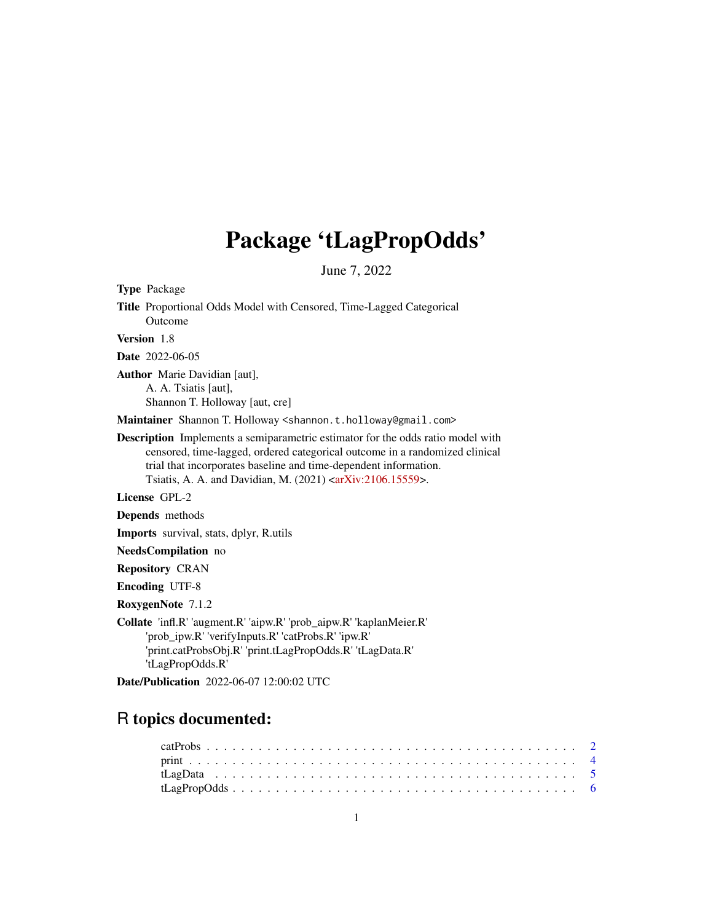## Package 'tLagPropOdds'

June 7, 2022

Type Package

Title Proportional Odds Model with Censored, Time-Lagged Categorical Outcome

Version 1.8

Date 2022-06-05

Author Marie Davidian [aut], A. A. Tsiatis [aut],

Shannon T. Holloway [aut, cre]

Maintainer Shannon T. Holloway <shannon.t.holloway@gmail.com>

Description Implements a semiparametric estimator for the odds ratio model with censored, time-lagged, ordered categorical outcome in a randomized clinical trial that incorporates baseline and time-dependent information. Tsiatis, A. A. and Davidian, M. (2021) [<arXiv:2106.15559>](https://arxiv.org/abs/2106.15559).

License GPL-2

Depends methods

Imports survival, stats, dplyr, R.utils

NeedsCompilation no

Repository CRAN

Encoding UTF-8

RoxygenNote 7.1.2

Collate 'infl.R' 'augment.R' 'aipw.R' 'prob\_aipw.R' 'kaplanMeier.R' 'prob\_ipw.R' 'verifyInputs.R' 'catProbs.R' 'ipw.R' 'print.catProbsObj.R' 'print.tLagPropOdds.R' 'tLagData.R' 'tLagPropOdds.R'

Date/Publication 2022-06-07 12:00:02 UTC

### R topics documented: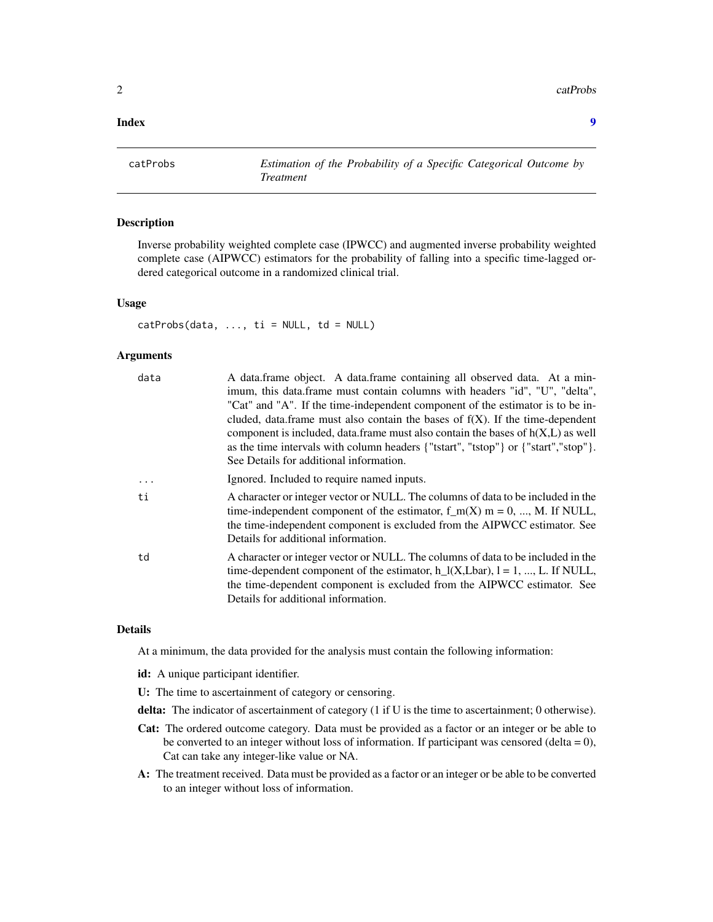<span id="page-1-0"></span> $2 \cos \theta$  catProbs

#### **Index** [9](#page-8-0)

catProbs *Estimation of the Probability of a Specific Categorical Outcome by Treatment*

#### Description

Inverse probability weighted complete case (IPWCC) and augmented inverse probability weighted complete case (AIPWCC) estimators for the probability of falling into a specific time-lagged ordered categorical outcome in a randomized clinical trial.

#### Usage

 $catProbs(data, ..., ti = NULL, td = NULL)$ 

#### Arguments

| data    | A data.frame object. A data.frame containing all observed data. At a min-<br>imum, this data.frame must contain columns with headers "id", "U", "delta",                                                                                                                                     |
|---------|----------------------------------------------------------------------------------------------------------------------------------------------------------------------------------------------------------------------------------------------------------------------------------------------|
|         | "Cat" and "A". If the time-independent component of the estimator is to be in-                                                                                                                                                                                                               |
|         | cluded, data.frame must also contain the bases of $f(X)$ . If the time-dependent                                                                                                                                                                                                             |
|         | component is included, data.frame must also contain the bases of $h(X, L)$ as well                                                                                                                                                                                                           |
|         | as the time intervals with column headers {"tstart", "tstop"} or {"start","stop"}.<br>See Details for additional information.                                                                                                                                                                |
| $\cdot$ | Ignored. Included to require named inputs.                                                                                                                                                                                                                                                   |
| ti      | A character or integer vector or NULL. The columns of data to be included in the<br>time-independent component of the estimator, $f_m(X)$ m = 0, , M. If NULL,<br>the time-independent component is excluded from the AIPWCC estimator. See<br>Details for additional information.           |
| td      | A character or integer vector or NULL. The columns of data to be included in the<br>time-dependent component of the estimator, $h_l(x,L\bar{b})$ , $l = 1, , L$ . If NULL,<br>the time-dependent component is excluded from the AIPWCC estimator. See<br>Details for additional information. |

#### Details

At a minimum, the data provided for the analysis must contain the following information:

- id: A unique participant identifier.
- U: The time to ascertainment of category or censoring.
- delta: The indicator of ascertainment of category (1 if U is the time to ascertainment; 0 otherwise).
- Cat: The ordered outcome category. Data must be provided as a factor or an integer or be able to be converted to an integer without loss of information. If participant was censored (delta =  $0$ ), Cat can take any integer-like value or NA.
- A: The treatment received. Data must be provided as a factor or an integer or be able to be converted to an integer without loss of information.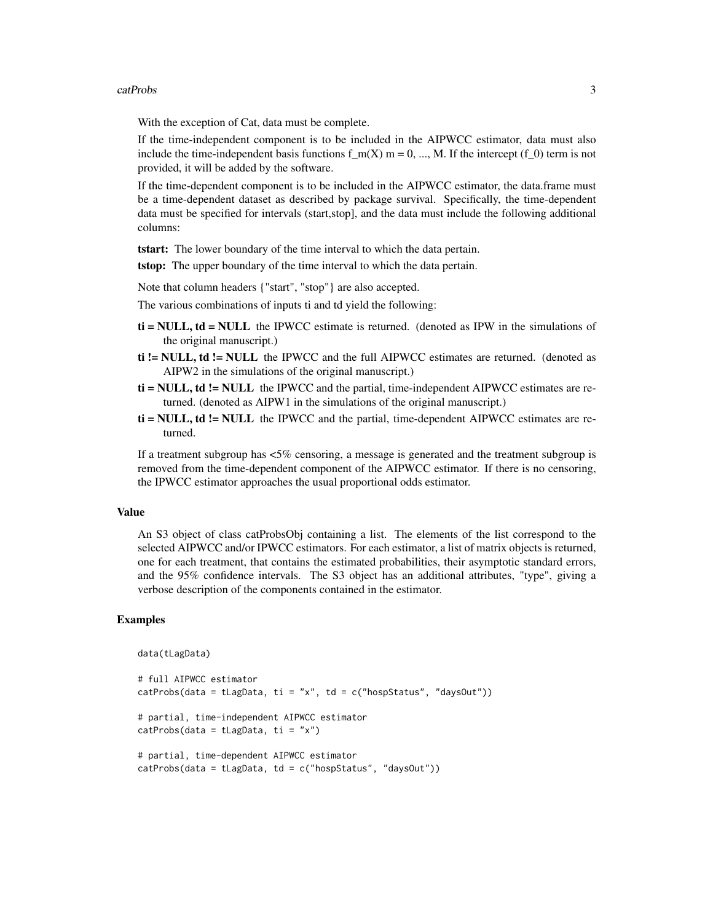#### catProbs 3

With the exception of Cat, data must be complete.

If the time-independent component is to be included in the AIPWCC estimator, data must also include the time-independent basis functions  $f_m(X)$  m = 0, ..., M. If the intercept (f\_0) term is not provided, it will be added by the software.

If the time-dependent component is to be included in the AIPWCC estimator, the data.frame must be a time-dependent dataset as described by package survival. Specifically, the time-dependent data must be specified for intervals (start,stop], and the data must include the following additional columns:

tstart: The lower boundary of the time interval to which the data pertain.

**tstop:** The upper boundary of the time interval to which the data pertain.

Note that column headers {"start", "stop"} are also accepted.

The various combinations of inputs ti and td yield the following:

- $t**i** = NULL$ ,  $td = NULL$  the IPWCC estimate is returned. (denoted as IPW in the simulations of the original manuscript.)
- ti != NULL, td != NULL the IPWCC and the full AIPWCC estimates are returned. (denoted as AIPW2 in the simulations of the original manuscript.)
- $t\mathbf{i} = \text{NULL}$ ,  $\mathbf{td} = \text{NULL}$  the IPWCC and the partial, time-independent AIPWCC estimates are returned. (denoted as AIPW1 in the simulations of the original manuscript.)
- $t\mathbf{i} = \mathbf{NULL}$ ,  $\mathbf{td} = \mathbf{NULL}$  the IPWCC and the partial, time-dependent AIPWCC estimates are returned.

If a treatment subgroup has <5% censoring, a message is generated and the treatment subgroup is removed from the time-dependent component of the AIPWCC estimator. If there is no censoring, the IPWCC estimator approaches the usual proportional odds estimator.

#### Value

An S3 object of class catProbsObj containing a list. The elements of the list correspond to the selected AIPWCC and/or IPWCC estimators. For each estimator, a list of matrix objects is returned, one for each treatment, that contains the estimated probabilities, their asymptotic standard errors, and the 95% confidence intervals. The S3 object has an additional attributes, "type", giving a verbose description of the components contained in the estimator.

#### Examples

```
data(tLagData)
```

```
# full AIPWCC estimator
catProbs(data = tLagData, ti = "x", td = c("hospStatus", "daysOut"))# partial, time-independent AIPWCC estimator
catProbs(data = tLagData, ti = "x")# partial, time-dependent AIPWCC estimator
catProbs(data = tLagData, td = c("hospStatus", "daysOut"))
```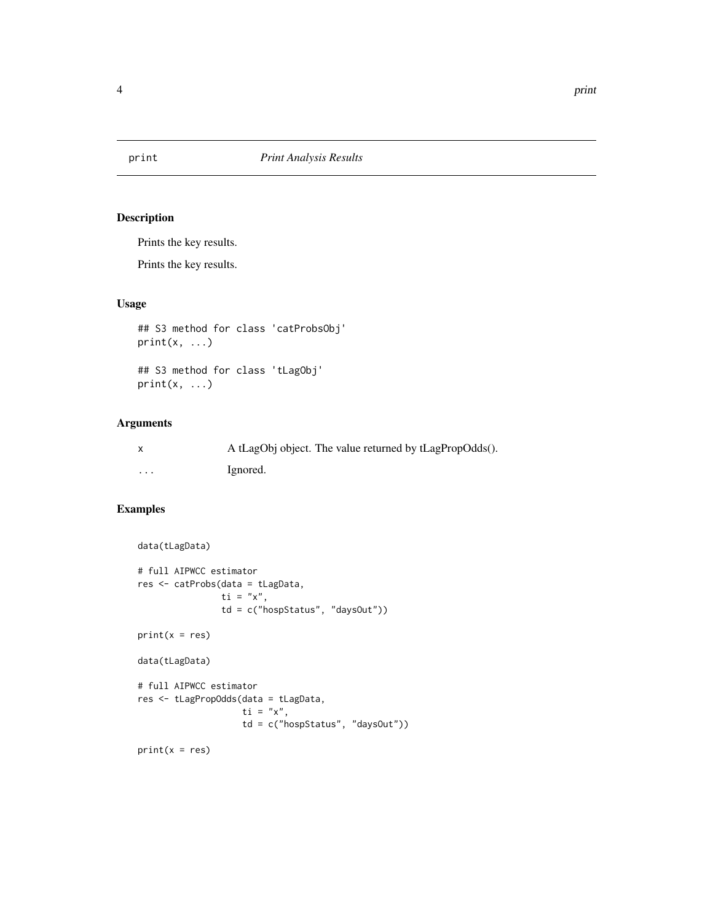<span id="page-3-0"></span>

#### Description

Prints the key results.

Prints the key results.

#### Usage

```
## S3 method for class 'catProbsObj'
print(x, \ldots)
```
## S3 method for class 'tLagObj'  $print(x, \ldots)$ 

#### Arguments

|         | A tLagObj object. The value returned by tLagPropOdds(). |
|---------|---------------------------------------------------------|
| $\cdot$ | Ignored.                                                |

#### Examples

```
data(tLagData)
```

```
# full AIPWCC estimator
res <- catProbs(data = tLagData,
                 \dot{t} i = "x",
                 td = c("hospStatus", "daysOut"))
print(x = res)data(tLagData)
# full AIPWCC estimator
res <- tLagPropOdds(data = tLagData,
                     \overline{t} i = "x",
                     td = c("hospStatus", "daysOut"))
```
 $print(x = res)$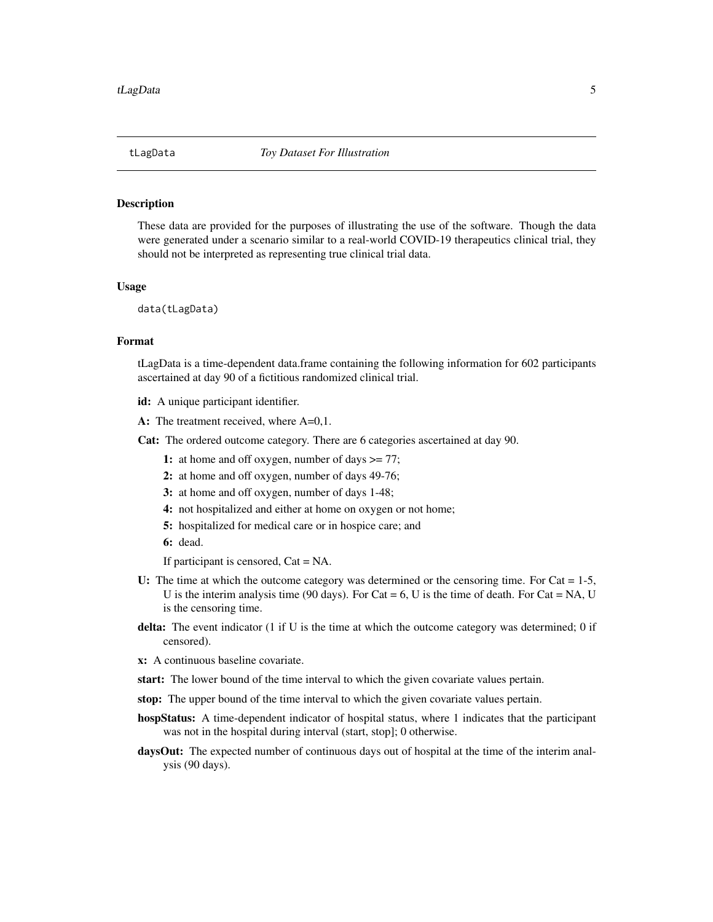<span id="page-4-0"></span>

#### Description

These data are provided for the purposes of illustrating the use of the software. Though the data were generated under a scenario similar to a real-world COVID-19 therapeutics clinical trial, they should not be interpreted as representing true clinical trial data.

#### Usage

data(tLagData)

#### Format

tLagData is a time-dependent data.frame containing the following information for 602 participants ascertained at day 90 of a fictitious randomized clinical trial.

- id: A unique participant identifier.
- A: The treatment received, where A=0,1.

Cat: The ordered outcome category. There are 6 categories ascertained at day 90.

- 1: at home and off oxygen, number of days  $\geq$  77;
- 2: at home and off oxygen, number of days 49-76;
- 3: at home and off oxygen, number of days 1-48;
- 4: not hospitalized and either at home on oxygen or not home;
- 5: hospitalized for medical care or in hospice care; and
- 6: dead.

If participant is censored, Cat = NA.

- U: The time at which the outcome category was determined or the censoring time. For  $Cat = 1-5$ , U is the interim analysis time (90 days). For Cat =  $6$ , U is the time of death. For Cat = NA, U is the censoring time.
- delta: The event indicator (1 if U is the time at which the outcome category was determined; 0 if censored).

x: A continuous baseline covariate.

- start: The lower bound of the time interval to which the given covariate values pertain.
- stop: The upper bound of the time interval to which the given covariate values pertain.
- hospStatus: A time-dependent indicator of hospital status, where 1 indicates that the participant was not in the hospital during interval (start, stop]; 0 otherwise.
- daysOut: The expected number of continuous days out of hospital at the time of the interim analysis (90 days).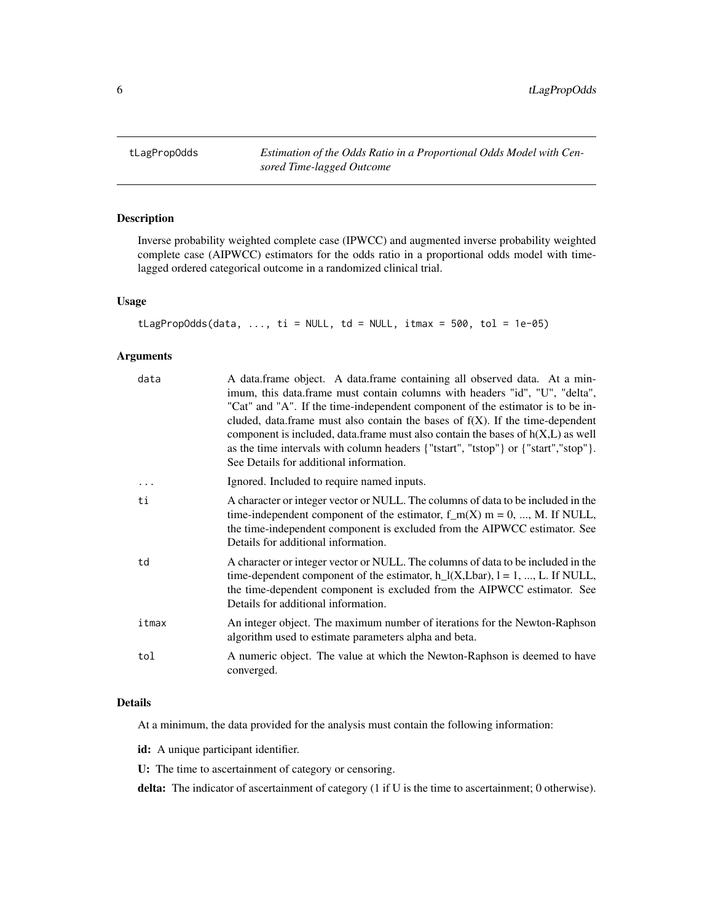<span id="page-5-0"></span>tLagPropOdds *Estimation of the Odds Ratio in a Proportional Odds Model with Censored Time-lagged Outcome*

#### Description

Inverse probability weighted complete case (IPWCC) and augmented inverse probability weighted complete case (AIPWCC) estimators for the odds ratio in a proportional odds model with timelagged ordered categorical outcome in a randomized clinical trial.

#### Usage

```
tLagPropOdds(data, ..., ti = NULL, td = NULL, itmax = 500, tol = 1e-05)
```
#### Arguments

| data  | A data.frame object. A data.frame containing all observed data. At a min-<br>imum, this data.frame must contain columns with headers "id", "U", "delta",<br>"Cat" and "A". If the time-independent component of the estimator is to be in-<br>cluded, data.frame must also contain the bases of $f(X)$ . If the time-dependent<br>component is included, data.frame must also contain the bases of $h(X, L)$ as well<br>as the time intervals with column headers {"tstart", "tstop"} or {"start","stop"}.<br>See Details for additional information. |
|-------|-------------------------------------------------------------------------------------------------------------------------------------------------------------------------------------------------------------------------------------------------------------------------------------------------------------------------------------------------------------------------------------------------------------------------------------------------------------------------------------------------------------------------------------------------------|
|       | Ignored. Included to require named inputs.                                                                                                                                                                                                                                                                                                                                                                                                                                                                                                            |
| ti    | A character or integer vector or NULL. The columns of data to be included in the<br>time-independent component of the estimator, $f_m(X)$ m = 0, , M. If NULL,<br>the time-independent component is excluded from the AIPWCC estimator. See<br>Details for additional information.                                                                                                                                                                                                                                                                    |
| td    | A character or integer vector or NULL. The columns of data to be included in the<br>time-dependent component of the estimator, $h_l(X, Lbar)$ , $l = 1, , L$ . If NULL,<br>the time-dependent component is excluded from the AIPWCC estimator. See<br>Details for additional information.                                                                                                                                                                                                                                                             |
| itmax | An integer object. The maximum number of iterations for the Newton-Raphson<br>algorithm used to estimate parameters alpha and beta.                                                                                                                                                                                                                                                                                                                                                                                                                   |
| tol   | A numeric object. The value at which the Newton-Raphson is deemed to have<br>converged.                                                                                                                                                                                                                                                                                                                                                                                                                                                               |
|       |                                                                                                                                                                                                                                                                                                                                                                                                                                                                                                                                                       |

#### Details

At a minimum, the data provided for the analysis must contain the following information:

id: A unique participant identifier.

U: The time to ascertainment of category or censoring.

delta: The indicator of ascertainment of category (1 if U is the time to ascertainment; 0 otherwise).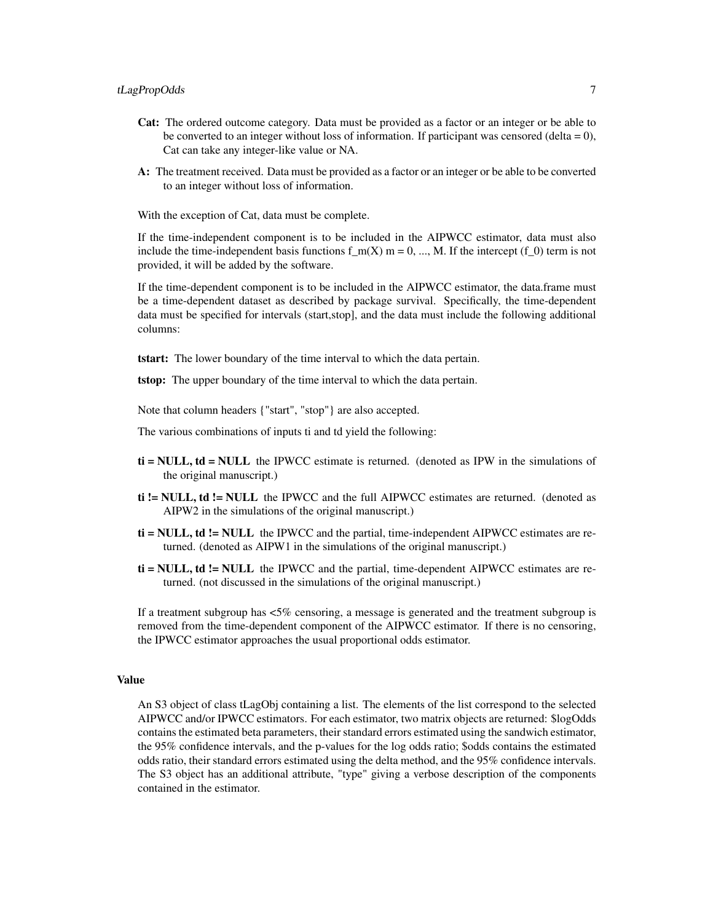- Cat: The ordered outcome category. Data must be provided as a factor or an integer or be able to be converted to an integer without loss of information. If participant was censored (delta  $= 0$ ), Cat can take any integer-like value or NA.
- A: The treatment received. Data must be provided as a factor or an integer or be able to be converted to an integer without loss of information.

With the exception of Cat, data must be complete.

If the time-independent component is to be included in the AIPWCC estimator, data must also include the time-independent basis functions f  $m(X)$  m = 0, ..., M. If the intercept (f 0) term is not provided, it will be added by the software.

If the time-dependent component is to be included in the AIPWCC estimator, the data.frame must be a time-dependent dataset as described by package survival. Specifically, the time-dependent data must be specified for intervals (start,stop], and the data must include the following additional columns:

tstart: The lower boundary of the time interval to which the data pertain.

tstop: The upper boundary of the time interval to which the data pertain.

Note that column headers {"start", "stop"} are also accepted.

The various combinations of inputs ti and td yield the following:

- $t\mathbf{i} = \mathbf{NULL}$ ,  $td = \mathbf{NULL}$  the IPWCC estimate is returned. (denoted as IPW in the simulations of the original manuscript.)
- ti != NULL, td != NULL the IPWCC and the full AIPWCC estimates are returned. (denoted as AIPW2 in the simulations of the original manuscript.)
- $t\mathbf{i} = \mathbf{NULL}$ ,  $\mathbf{td} = \mathbf{NULL}$  the IPWCC and the partial, time-independent AIPWCC estimates are returned. (denoted as AIPW1 in the simulations of the original manuscript.)
- $t\mathbf{i} = \text{NULL}$ ,  $\mathbf{td} = \text{NULL}$  the IPWCC and the partial, time-dependent AIPWCC estimates are returned. (not discussed in the simulations of the original manuscript.)

If a treatment subgroup has <5% censoring, a message is generated and the treatment subgroup is removed from the time-dependent component of the AIPWCC estimator. If there is no censoring, the IPWCC estimator approaches the usual proportional odds estimator.

#### Value

An S3 object of class tLagObj containing a list. The elements of the list correspond to the selected AIPWCC and/or IPWCC estimators. For each estimator, two matrix objects are returned: \$logOdds contains the estimated beta parameters, their standard errors estimated using the sandwich estimator, the 95% confidence intervals, and the p-values for the log odds ratio; \$odds contains the estimated odds ratio, their standard errors estimated using the delta method, and the 95% confidence intervals. The S3 object has an additional attribute, "type" giving a verbose description of the components contained in the estimator.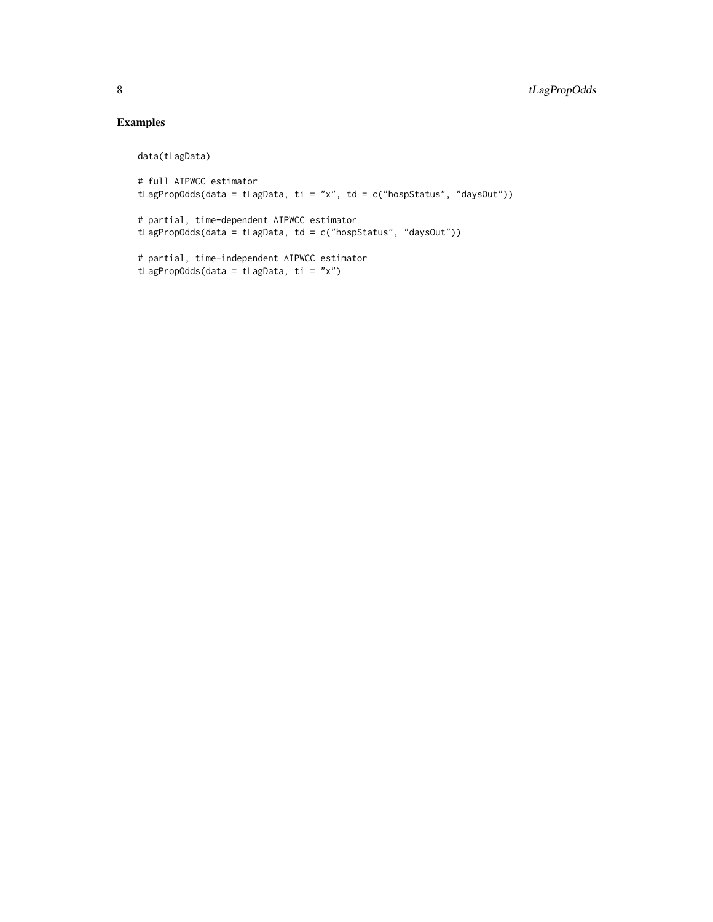#### Examples

data(tLagData)

```
# full AIPWCC estimator
tLagPropOdds(data = tLagData, ti = "x", td = c("hospStatus", "daysOut"))
# partial, time-dependent AIPWCC estimator
tLagPropOdds(data = tLagData, td = c("hospStatus", "daysOut"))
# partial, time-independent AIPWCC estimator
tLagPropOdds(data = tLagData, ti = "x")
```